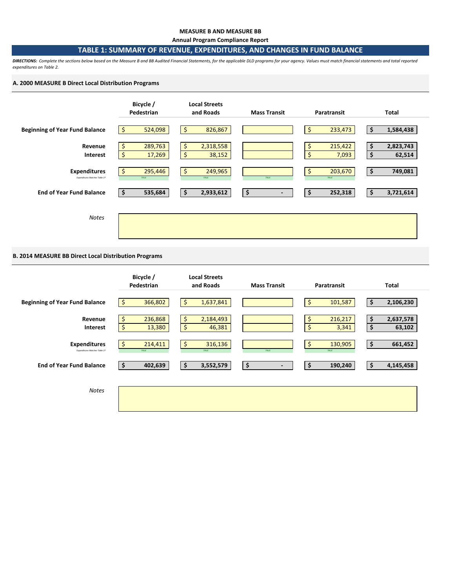#### **MEASURE B AND MEASURE BB**

**Annual Program Compliance Report**

### **TABLE 1: SUMMARY OF REVENUE, EXPENDITURES, AND CHANGES IN FUND BALANCE**

*DIRECTIONS: Complete the sections below based on the Measure B and BB Audited Financial Statements, for the applicable DLD programs for your agency. Values must match financial statements and total reported expenditures on Table 2.* 

#### **A. 2000 MEASURE B Direct Local Distribution Programs**



## **B. 2014 MEASURE BB Direct Local Distribution Programs**

|                                                      | Bicycle /<br>Pedestrian                   | <b>Local Streets</b><br>and Roads | <b>Mass Transit</b>            | Paratransit                  | Total                           |
|------------------------------------------------------|-------------------------------------------|-----------------------------------|--------------------------------|------------------------------|---------------------------------|
| <b>Beginning of Year Fund Balance</b>                | $\ddot{\bm{\zeta}}$<br>366,802            | \$<br>1,637,841                   |                                | \$<br>101,587                | \$<br>2,106,230                 |
| Revenue<br><b>Interest</b>                           | 236,868<br>\$.<br>$\frac{1}{2}$<br>13,380 | \$<br>2,184,493<br>\$<br>46,381   |                                | 216,217<br>\$<br>\$<br>3,341 | 2,637,578<br>\$<br>\$<br>63,102 |
| <b>Expenditures</b><br>Expenditures Matches Table 2? | -\$<br>214,411<br>TRUE                    | \$<br>316,136<br>TRUE             | TRUE                           | \$<br>130,905<br>TRUE        | \$<br>661,452                   |
| <b>End of Year Fund Balance</b>                      | 402,639<br>∣\$,                           | 3,552,579<br>\$                   | \$<br>$\overline{\phantom{a}}$ | 190,240<br>\$                | 4,145,458<br>\$                 |
| <b>Notes</b>                                         |                                           |                                   |                                |                              |                                 |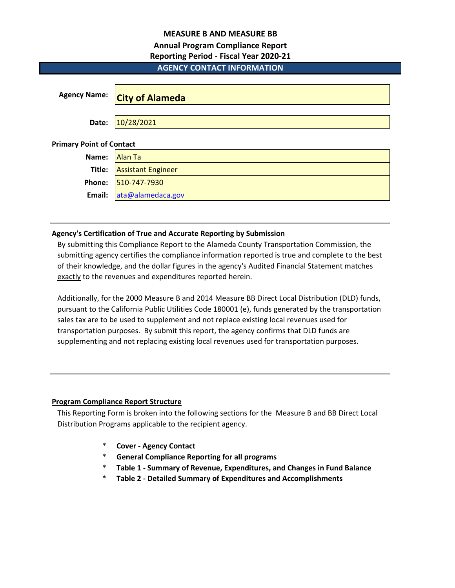## **MEASURE B AND MEASURE BB**

# **Annual Program Compliance Report**

## **Reporting Period - Fiscal Year 2020-21**

# **AGENCY CONTACT INFORMATION**

| <b>Agency Name:</b>             | <b>City of Alameda</b>    |
|---------------------------------|---------------------------|
| Date:                           | 10/28/2021                |
| <b>Primary Point of Contact</b> |                           |
| Name:                           | <b>Alan Ta</b>            |
| Title:                          | <b>Assistant Engineer</b> |
| Phone:                          | 510-747-7930              |
| Email:                          | ata@alamedaca.gov         |

## **Agency's Certification of True and Accurate Reporting by Submission**

By submitting this Compliance Report to the Alameda County Transportation Commission, the submitting agency certifies the compliance information reported is true and complete to the best of their knowledge, and the dollar figures in the agency's Audited Financial Statement matches exactly to the revenues and expenditures reported herein.

Additionally, for the 2000 Measure B and 2014 Measure BB Direct Local Distribution (DLD) funds, pursuant to the California Public Utilities Code 180001 (e), funds generated by the transportation sales tax are to be used to supplement and not replace existing local revenues used for transportation purposes. By submit this report, the agency confirms that DLD funds are supplementing and not replacing existing local revenues used for transportation purposes.

# **Program Compliance Report Structure**

This Reporting Form is broken into the following sections for the Measure B and BB Direct Local Distribution Programs applicable to the recipient agency.

- \* **Cover Agency Contact**
- \* **General Compliance Reporting for all programs**
- \* **Table 1 Summary of Revenue, Expenditures, and Changes in Fund Balance**
- \* **Table 2 Detailed Summary of Expenditures and Accomplishments**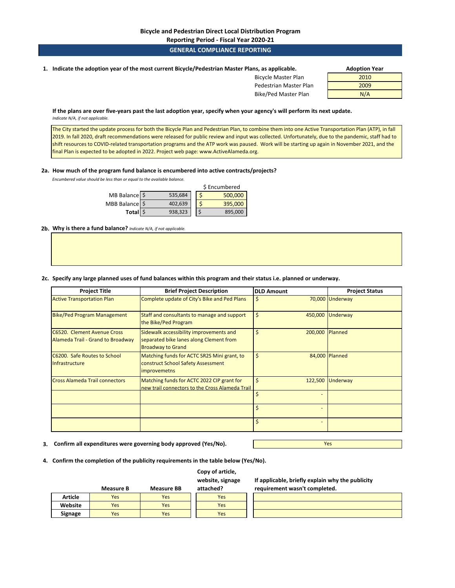## **Reporting Period - Fiscal Year 2020-21**

## **GENERAL COMPLIANCE REPORTING**

**1. Adoption Year Indicate the adoption year of the most current Bicycle/Pedestrian Master Plans, as applicable.** 

| ns, as applicable.         | <b>Adoption Year</b> |
|----------------------------|----------------------|
| <b>Bicycle Master Plan</b> | 2010                 |
| Pedestrian Master Plan     | 2009                 |
| Bike/Ped Master Plan       | N/A                  |

**If the plans are over five-years past the last adoption year, specify when your agency's will perform its next update.**  *Indicate N/A, if not applicable.* 

The City started the update process for both the Bicycle Plan and Pedestrian Plan, to combine them into one Active Transportation Plan (ATP), in fall 2019. In fall 2020, draft recommendations were released for public review and input was collected. Unfortunately, due to the pandemic, staff had to shift resources to COVID-related transportation programs and the ATP work was paused. Work will be starting up again in November 2021, and the final Plan is expected to be adopted in 2022. Project web page: www.ActiveAlameda.org.

#### **2a. How much of the program fund balance is encumbered into active contracts/projects?**

*Encumbered value should be less than or equal to the available balance.* 

|                |         | \$ Encumbered |
|----------------|---------|---------------|
| MB Balance \$  | 535,684 | 500,000       |
| MBB Balance \$ | 402,639 | 395,000       |
| Total \$       | 938,323 | 895,000       |

**2b. Why is there a fund balance?** *Indicate N/A, if not applicable.* 

#### **2c. Specify any large planned uses of fund balances within this program and their status i.e. planned or underway.**

| <b>Project Title</b>                                             | <b>Brief Project Description</b>                                                                               | <b>DLD Amount</b> | <b>Project Status</b> |
|------------------------------------------------------------------|----------------------------------------------------------------------------------------------------------------|-------------------|-----------------------|
| <b>Active Transportation Plan</b>                                | Complete update of City's Bike and Ped Plans                                                                   | \$                | 70,000 Underway       |
| <b>Bike/Ped Program Management</b>                               | Staff and consultants to manage and support<br>the Bike/Ped Program                                            | \$<br>450,000     | Underway              |
| C6520. Clement Avenue Cross<br>Alameda Trail - Grand to Broadway | Sidewalk accessibility improvements and<br>separated bike lanes along Clement from<br><b>Broadway to Grand</b> | Ś<br>200,000      | Planned               |
| C6200. Safe Routes to School<br>Infrastructure                   | Matching funds for ACTC SR2S Mini grant, to<br>construct School Safety Assessment<br><i>improvemetns</i>       | \$                | 84,000 Planned        |
| <b>Cross Alameda Trail connectors</b>                            | Matching funds for ACTC 2022 CIP grant for<br>new trail connectors to the Cross Alameda Trail                  | Ś<br>122,500      | Underway              |
|                                                                  |                                                                                                                |                   |                       |
|                                                                  |                                                                                                                |                   |                       |
|                                                                  |                                                                                                                |                   |                       |

**3. Confirm all expenditures were governing body approved (Yes/No).**

**4. Confirm the completion of the publicity requirements in the table below (Yes/No).**

#### **Measure B Measure BB Copy of article, website, signage attached? Article** Yes Yes Yes **Website Yes** Yes Yes Yes Yes **Signage Yes The Yes The Yes**

**If applicable, briefly explain why the publicity requirement wasn't completed.** 

Yes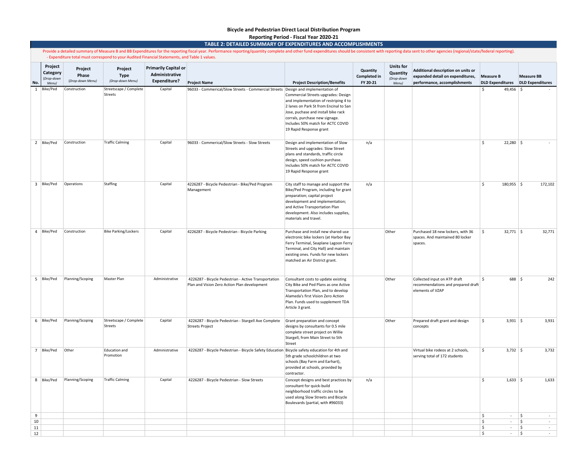#### **Bicycle and Pedestrian Direct Local Distribution Program Reporting Period - Fiscal Year 2020-21**

#### **TABLE 2: DETAILED SUMMARY OF EXPENDITURES AND ACCOMPLISHMENTS**

Provide a detailed summary of Measure B and BB Expenditures for the reporting fiscal year. Performance reporting/quantity complete and other fund expenditures should be consistent with reporting data sent to other agencies - Expenditure total must correspond to your Audited Financial Statements, and Table 1 values.

|              | Project<br>Category<br>(Drop-down | Project<br>Phase<br>(Drop-down Menu) | Project<br><b>Type</b><br>(Drop-down Menu) | <b>Primarily Capital or</b><br>Administrative<br><b>Expenditure?</b> |                                                                                                          |                                                                                                                                                                                                                                                                                                        | Quantity<br><b>Completed in</b> | <b>Units for</b><br>Quantity<br>(Drop-down | Additional description on units or<br>expanded detail on expenditures,                 | <b>Measure B</b>                                  | <b>Measure BB</b>            |
|--------------|-----------------------------------|--------------------------------------|--------------------------------------------|----------------------------------------------------------------------|----------------------------------------------------------------------------------------------------------|--------------------------------------------------------------------------------------------------------------------------------------------------------------------------------------------------------------------------------------------------------------------------------------------------------|---------------------------------|--------------------------------------------|----------------------------------------------------------------------------------------|---------------------------------------------------|------------------------------|
| No.          | Menu)<br>1 Bike/Ped               | Construction                         | Streetscape / Complete<br>Streets          | Capital                                                              | <b>Project Name</b><br>96033 - Commerical/Slow Streets - Commercial Streets Design and implementation of | <b>Project Description/Benefits</b><br>Commercial Streets upgrades: Design<br>and implementation of restriping 4 to<br>2 lanes on Park St from Encinal to San<br>Jose, puchase and install bike rack<br>corrals, purchase new signage.<br>Includes 50% match for ACTC COVID<br>19 Rapid Response grant | FY 20-21                        | Menu)                                      | performance, accomplishments                                                           | <b>DLD Expenditures</b><br>$49,456$ \$<br>\$      | <b>DLD Expenditures</b>      |
|              | 2 Bike/Ped                        | Construction                         | <b>Traffic Calming</b>                     | Capital                                                              | 96033 - Commerical/Slow Streets - Slow Streets                                                           | Design and implementation of Slow<br>Streets and upgrades: Slow Street<br>plans and standards, traffic circle<br>design, speed cushion purchase.<br>Includes 50% match for ACTC COVID<br>19 Rapid Response grant                                                                                       | n/a                             |                                            |                                                                                        | $\mathsf{\hat{S}}$<br>$22,280$ \$                 |                              |
|              | 3 Bike/Ped                        | Operations                           | Staffing                                   | Capital                                                              | 4226287 - Bicycle Pedestrian - Bike/Ped Program<br>Management                                            | City staff to manage and support the<br>Bike/Ped Program, including for grant<br>preparation; capital project<br>development and implementation;<br>and Active Transportation Plan<br>development. Also includes supplies,<br>materials and travel.                                                    | n/a                             |                                            |                                                                                        | $\dot{\mathsf{S}}$<br>$180,955$ \$                | 172,102                      |
|              | 4 Bike/Ped                        | Construction                         | <b>Bike Parking/Lockers</b>                | Capital                                                              | 4226287 - Bicycle Pedestrian - Bicycle Parking                                                           | Purchase and install new shared-use<br>electronic bike lockers (at Harbor Bay<br>Ferry Terminal, Seaplane Lagoon Ferry<br>Terminal, and City Hall) and maintain<br>existing ones. Funds for new lockers<br>matched an Air District grant.                                                              |                                 | Other                                      | Purchased 18 new lockers, with 36<br>spaces. And maintained 80 locker<br>spaces.       | $32,771$ \$<br>$\hat{\zeta}$                      | 32,771                       |
|              | 5 Bike/Ped                        | Planning/Scoping                     | Master Plan                                | Administrative                                                       | 4226287 - Bicycle Pedestrian - Active Transportation<br>Plan and Vision Zero Action Plan development     | Consultant costs to update existing<br>City Bike and Ped Plans as one Active<br>Transportation Plan, and to develop<br>Alameda's first Vision Zero Action<br>Plan. Funds used to supplement TDA<br>Article 3 grant.                                                                                    |                                 | Other                                      | Collected input on ATP draft<br>recommendations and prepared draft<br>elements of VZAP | $688$ \$<br>Ŝ.                                    | 242                          |
|              | 6 Bike/Ped                        | Planning/Scoping                     | Streetscape / Complete<br>Streets          | Capital                                                              | 4226287 - Bicycle Pedestrian - Stargell Ave Complete<br><b>Streets Project</b>                           | Grant preparation and concept<br>designs by consultants for 0.5 mile<br>complete street project on Willie<br>Stargell, from Main Street to 5th<br>Street                                                                                                                                               |                                 | Other                                      | Prepared draft grant and design<br>concepts                                            | \$<br>$3,931$ \$                                  | 3,931                        |
|              | 7 Bike/Ped                        | Other                                | Education and<br>Promotion                 | Administrative                                                       | 4226287 - Bicycle Pedestrian - Bicycle Safety Education Bicycle safety education for 4th and             | 5th grade schoolchildren at two<br>schools (Bay Farm and Earhart),<br>provided at schools, provided by<br>contractor.                                                                                                                                                                                  |                                 |                                            | Virtual bike rodeos at 2 schools,<br>serving total of 172 students                     | \$<br>$3,732$ \$                                  | 3,732                        |
|              | 8 Bike/Ped                        | Planning/Scoping                     | <b>Traffic Calming</b>                     | Capital                                                              | 4226287 - Bicycle Pedestrian - Slow Streets                                                              | Concept designs and best practices by<br>consultant for quick-build<br>neighborhood traffic circles to be<br>used along Slow Streets and Bicycle<br>Boulevards (partial, with #96033)                                                                                                                  | n/a                             |                                            |                                                                                        | $1,633$ \$<br>Ŝ.                                  | 1,633                        |
| 9            |                                   |                                      |                                            |                                                                      |                                                                                                          |                                                                                                                                                                                                                                                                                                        |                                 |                                            |                                                                                        | \$<br>$\sim$                                      | \$<br>$\sim$                 |
| 10<br>$11\,$ |                                   |                                      |                                            |                                                                      |                                                                                                          |                                                                                                                                                                                                                                                                                                        |                                 |                                            |                                                                                        | \$<br>$\sim$<br>\$<br>$\mathcal{L}_{\mathcal{A}}$ | \$<br>$\sim$<br>\$<br>$\sim$ |
| 12           |                                   |                                      |                                            |                                                                      |                                                                                                          |                                                                                                                                                                                                                                                                                                        |                                 |                                            |                                                                                        | l\$<br>$\sim$                                     | $\frac{1}{2}$<br>$\sim$      |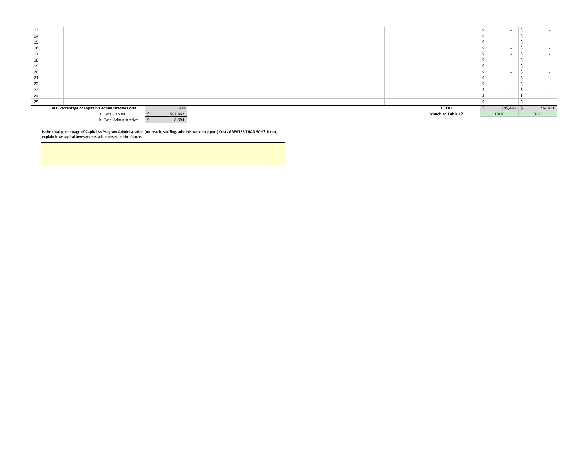| 13 |                                                            |                         |         |  |  |                   |             |         |
|----|------------------------------------------------------------|-------------------------|---------|--|--|-------------------|-------------|---------|
| 14 |                                                            |                         |         |  |  |                   |             |         |
| 15 |                                                            |                         |         |  |  |                   |             |         |
| 16 |                                                            |                         |         |  |  |                   |             |         |
| 17 |                                                            |                         |         |  |  |                   |             |         |
| 18 |                                                            |                         |         |  |  |                   |             |         |
| 19 |                                                            |                         |         |  |  |                   |             |         |
| 20 |                                                            |                         |         |  |  |                   |             |         |
| 21 |                                                            |                         |         |  |  |                   |             |         |
| 22 |                                                            |                         |         |  |  |                   |             |         |
| 23 |                                                            |                         |         |  |  |                   |             |         |
| 24 |                                                            |                         |         |  |  |                   |             |         |
| 25 |                                                            |                         |         |  |  |                   | . .         |         |
|    | <b>Total Percentage of Capital vs Administrative Costs</b> |                         | 98%     |  |  | TOTAL             | 295,446 \$  | 214,411 |
|    |                                                            | a. Total Capital        | 501,462 |  |  | Match to Table 1? | <b>TRUE</b> | TRUE    |
|    |                                                            | b. Total Administrative | 8,394   |  |  |                   |             |         |

Is the total percentage of Capital vs Program Administration (outreach, staffing, administrative support) Costs GREATER THAN 50%? If not,<br>explain how capital investments will increase in the future.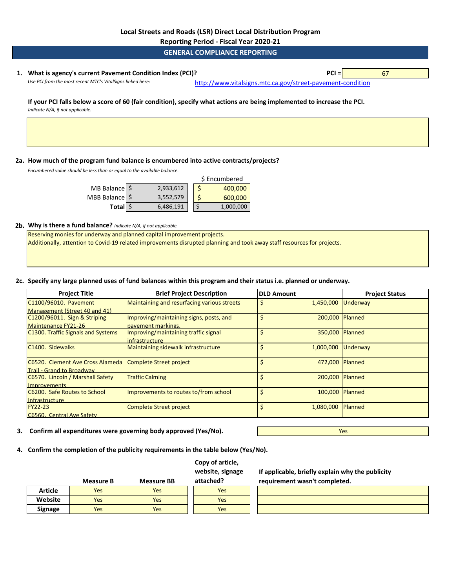**Reporting Period - Fiscal Year 2020-21**

**GENERAL COMPLIANCE REPORTING**

## **1. PCI =** 67 **What is agency's current Pavement Condition Index (PCI)?**

Use PCI from the most recent MTC's VitalSigns linked here: [http://www.vitalsig](http://www.vitalsigns.mtc.ca.gov/street-pavement-condition)ns.mtc.ca.gov/street-pavement-condition

**If your PCI falls below a score of 60 (fair condition), specify what actions are being implemented to increase the PCI.**  *Indicate N/A, if not applicable.* 

**2a. How much of the program fund balance is encumbered into active contracts/projects?** 

*Encumbered value should be less than or equal to the available balance.* 

|                  |           | \$ Encumbered |
|------------------|-----------|---------------|
| MB Balance \$    | 2,933,612 | 400,000       |
| MBB Balance   \$ | 3,552,579 | 600,000       |
| Total \$         | 6,486,191 | 1,000,000     |

#### **2b. Why is there a fund balance?** *Indicate N/A, if not applicable.*

Reserving monies for underway and planned capital improvement projects. Additionally, attention to Covid-19 related improvements disrupted planning and took away staff resources for projects.

## **2c. Specify any large planned uses of fund balances within this program and their status i.e. planned or underway.**

| <b>Project Title</b>               | <b>Brief Project Description</b>            | <b>DLD Amount</b> |                    | <b>Project Status</b> |
|------------------------------------|---------------------------------------------|-------------------|--------------------|-----------------------|
| C1100/96010. Pavement              | Maintaining and resurfacing various streets |                   | 1,450,000 Underway |                       |
| Management (Street 40 and 41)      |                                             |                   |                    |                       |
| C1200/96011. Sign & Striping       | Improving/maintaining signs, posts, and     |                   | 200.000 Planned    |                       |
| Maintenance FY21-26                | payement markings.                          |                   |                    |                       |
| C1300. Traffic Signals and Systems | Improving/maintaining traffic signal        |                   | 350,000 Planned    |                       |
|                                    | <i>infrastructure</i>                       |                   |                    |                       |
| C1400. Sidewalks                   | Maintaining sidewalk infrastructure         |                   | 1,000,000          | Underway              |
|                                    |                                             |                   |                    |                       |
| C6520. Clement Ave Cross Alameda   | Complete Street project                     |                   | 472.000 Planned    |                       |
| <b>Trail - Grand to Broadway</b>   |                                             |                   |                    |                       |
| C6570. Lincoln / Marshall Safety   | <b>Traffic Calming</b>                      |                   | 200.000 Planned    |                       |
| <b>Improvements</b>                |                                             |                   |                    |                       |
| C6200. Safe Routes to School       | Improvements to routes to/from school       |                   | 100,000 Planned    |                       |
| Infrastructure                     |                                             |                   |                    |                       |
| <b>FY22-23</b>                     | Complete Street project                     |                   | 1,080,000          | <b>Planned</b>        |
| C6560. Central Ave Safety          |                                             |                   |                    |                       |

**Copy of article,** 

**3. Confirm all expenditures were governing body approved (Yes/No).**

Yes

**4. Confirm the completion of the publicity requirements in the table below (Yes/No).**

|                | <b>Measure B</b> | <b>Measure BB</b> | website, signage<br>attached? |
|----------------|------------------|-------------------|-------------------------------|
| <b>Article</b> | Yes              | Yes               | Yes                           |
| Website        | Yes              | <b>Yes</b>        | Yes                           |
| <b>Signage</b> | Yes              | Yes               | Yes                           |

**If applicable, briefly explain why the publicity requirement wasn't completed.**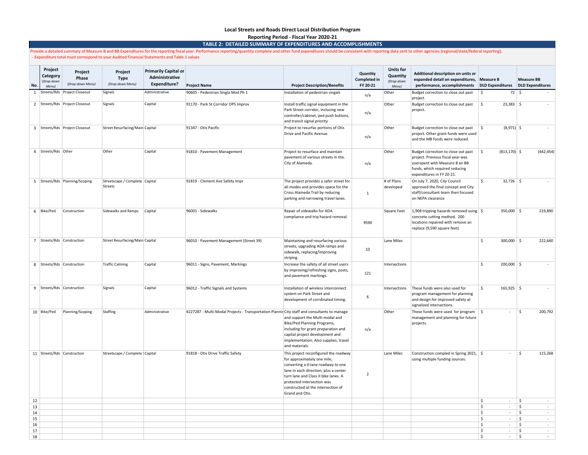#### **Local Streets and Roads Direct Local Distribution Program Reporting Period - Fiscal Year 2020-21**

**TABLE 2: DETAILED SUMMARY OF EXPENDITURES AND ACCOMPLISHMENTS**

Provide a detailed summary of Measure B and BB Expenditures for the reporting fiscal year. Performance reporting/quantity complete and other fund expenditures should be consistent with reporting data sent to other agencies - Expenditure total must correspond to your Audited Financial Statements and Table 1 values

| No.      | Project<br>Category<br>(Drop-down<br>Menu) | Project<br>Phase<br>(Drop-down Menu) | Project<br><b>Type</b><br>(Drop-down Menu) | <b>Primarily Capital or</b><br>Administrative<br>Expenditure? | <b>Project Name</b>                                                                          | <b>Project Description/Benefits</b>                                                                                                                                                                                                                                                | Quantity<br><b>Completed in</b><br>FY 20-21 | <b>Units for</b><br>Quantity<br>(Drop-down<br>Menu) | Additional description on units or<br>expanded detail on expenditures, Measure B<br>performance, accomplishments                                                          | DLD Expenditures DLD Expenditures      | <b>Measure BB</b>            |
|----------|--------------------------------------------|--------------------------------------|--------------------------------------------|---------------------------------------------------------------|----------------------------------------------------------------------------------------------|------------------------------------------------------------------------------------------------------------------------------------------------------------------------------------------------------------------------------------------------------------------------------------|---------------------------------------------|-----------------------------------------------------|---------------------------------------------------------------------------------------------------------------------------------------------------------------------------|----------------------------------------|------------------------------|
| 1        |                                            | Streets/Rds Project Closeout         | Signals                                    | Administrative                                                | 90605 - Pedestrian Singla Mod Ph 1                                                           | Installation of pedestrian singals                                                                                                                                                                                                                                                 | n/a                                         | Other                                               | Budget correction to close out past<br>project.                                                                                                                           | $72 \mid$ \$<br>\$                     |                              |
|          |                                            | 2 Streets/Rds Project Closeout       | Signals                                    | Capital                                                       | 91170 - Park St Corridor OPS Improv                                                          | Install traffic signal equipment in the<br>Park Street corridor, inclucing new<br>controller/cabinet, ped push buttons,<br>and transit signal priority                                                                                                                             | n/a                                         | Other                                               | Budget correction to close out past<br>project.                                                                                                                           | \$<br>$23,383$ \$                      | $\sim$                       |
|          |                                            | 3 Streets/Rds Project Closeout       | Street Resurfacing/Main Capital            |                                                               | 91347 - Otis Pacific                                                                         | Project to resurfac portions of Otis<br>Drive and Pacific Avenue.                                                                                                                                                                                                                  | n/a                                         | Other                                               | Budget correction to close out past<br>project. Other grant funds were used<br>and the MB funds were reduced.                                                             | ۱\$<br>$(8,971)$ \$                    | $\sim$                       |
|          | 4 Streets/Rds Other                        |                                      | Other                                      | Capital                                                       | 91810 - Pavement Management                                                                  | Project to resurface and maintain<br>pavement of various streets in the.<br>City of Alameda.                                                                                                                                                                                       | n/a                                         | Other                                               | Budget correction to close out past<br>project. Previous fiscal year was<br>overspent with Measure B an BB<br>funds, which required reducing<br>expenditures in FY 20-21. | $(813, 170)$ \$<br>\$                  | (442, 454)                   |
|          |                                            | 5 Streets/Rds Planning/Scoping       | Streetscape / Complete Capital<br>Streets  |                                                               | 91819 - Clement Ave Safety Impr                                                              | The project provides a safer street for<br>all modes and provides space for the<br>Cross Alameda Trail by reducing<br>parking and narrowing travel lanes.                                                                                                                          | $\mathbf{1}$                                | # of Plans<br>developed                             | On July 7, 2020, City Council<br>approved the final concept and City<br>staff/consultant team then focused<br>on NEPA clearance                                           | \$<br>$32,726$ \$                      | $\sim$                       |
|          | 6 Bike/Ped                                 | Construction                         | Sidewalks and Ramps                        | Capital                                                       | 96001 - Sidewalks                                                                            | Repair of sidewalks for ADA<br>compliance and trip hazard removal.                                                                                                                                                                                                                 | 9590                                        | Square Feet                                         | 1,908 tripping hazards removed using $\frac{1}{5}$<br>concrete cutting method. 200<br>locations repaired with remove an<br>replace (9,590 square feet)                    | $350,000$ \$                           | 219,890                      |
|          | 7 Streets/Rds Construction                 |                                      | Street Resurfacing/Main Capital            |                                                               | 96010 - Pavement Management (Street 39)                                                      | Maintaining and resurfacing various<br>streets, upgrading ADA ramps and<br>sidewalk, replacing/improving<br>striping.                                                                                                                                                              | 10                                          | Lane Miles                                          |                                                                                                                                                                           | Ŝ.<br>$300,000$ \$                     | 222,640                      |
|          | 8 Streets/Rds Construction                 |                                      | <b>Traffic Calming</b>                     | Capital                                                       | 96011 - Signs, Pavement, Markings                                                            | Increase the safety of all street users<br>by improving/refreshing signs, posts,<br>and pavement markings.                                                                                                                                                                         | 121                                         | Intersections                                       |                                                                                                                                                                           | \$<br>$200,000$ \$                     | $\sim$                       |
|          | 9 Streets/Rds Construction                 |                                      | Signals                                    | Capital                                                       | 96012 - Traffic Signals and Systems                                                          | Installation of wireless interconnect<br>system on Park Street and<br>development of corrdinated timing.                                                                                                                                                                           | 6                                           | Intersections                                       | These funds were also used for<br>program management for planning<br>and design for improved safety at<br>signalized intersections.                                       | \$<br>$165,925$ \$                     |                              |
|          | 10 Bike/Ped                                | Planning/Scoping                     | Staffing                                   | Administrative                                                | 4227287 - Multi-Modal Projects - Transportation Plannir City staff and consultants to manage | and support the Multi-modal and<br>Bike/Ped Planning Programs,<br>including for grant preparation and<br>capital project development and<br>implementation; Also supplies, travel<br>and materials.                                                                                | n/a                                         | Other                                               | These funds were used for program<br>management and planning for future<br>projects.                                                                                      | ۱\$<br>÷.                              | 200,792<br>Ŝ.                |
|          | 11 Streets/Rds Construction                |                                      | Streetscape / Complete : Capital           |                                                               | 91818 - Otis Drive Traffic Safety                                                            | This project reconfigured the roadway<br>for approximately one mile,<br>converting a 4-lane roadway to one<br>lane in each direction, plus a center<br>turn lane and Class II bike lanes. A<br>protected intersection was<br>constructed at the intersection of<br>Grand and Otis. | $\overline{2}$                              | Lane Miles                                          | Construction compled in Spring 2021, \$<br>using multiple funding sources.                                                                                                | ä.                                     | 115,268<br>\$                |
| 12       |                                            |                                      |                                            |                                                               |                                                                                              |                                                                                                                                                                                                                                                                                    |                                             |                                                     |                                                                                                                                                                           | \$<br>$\sim$                           | \$<br>$\sim$                 |
| 13<br>14 |                                            |                                      |                                            |                                                               |                                                                                              |                                                                                                                                                                                                                                                                                    |                                             |                                                     |                                                                                                                                                                           | \$<br>$\sim$<br>\$<br>$\sim$           | \$<br>$\sim$<br>\$<br>$\sim$ |
| 15       |                                            |                                      |                                            |                                                               |                                                                                              |                                                                                                                                                                                                                                                                                    |                                             |                                                     |                                                                                                                                                                           | \$<br>$\sim$                           | \$<br>$\sim$                 |
| 16       |                                            |                                      |                                            |                                                               |                                                                                              |                                                                                                                                                                                                                                                                                    |                                             |                                                     |                                                                                                                                                                           | $\ddot{\varsigma}$<br>$\sim$<br>$\sim$ | $\mathsf{S}$<br>$\sim$       |
| 17<br>18 |                                            |                                      |                                            |                                                               |                                                                                              |                                                                                                                                                                                                                                                                                    |                                             |                                                     |                                                                                                                                                                           | \$<br>\$<br>$\sim$                     | \$<br>$\sim$<br>\$<br>$\sim$ |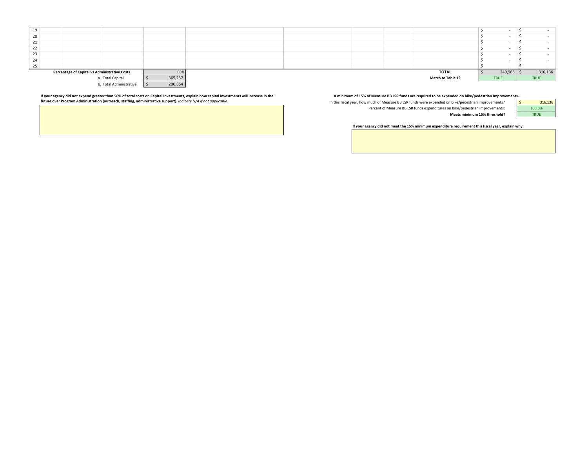

If your agency did not expend greater than 50% of total costs on Capital Investments, explain how capital investments will increase in the and the man and minimum of 15% of Measure BB LSR funds are required to be expended

In this fiscal year, how much of Measure BB LSR funds were expended on bike/pedestrian improvements? Percent of Measure BB LSR funds expenditures on bike/pedestrian improvements: **Meets minimum 15% threshold?**

|  | 316,136 |
|--|---------|
|  | 100.0%  |
|  | 21 IE   |

**If your agency did not meet the 15% minimum expenditure requirement this fiscal year, explain why.**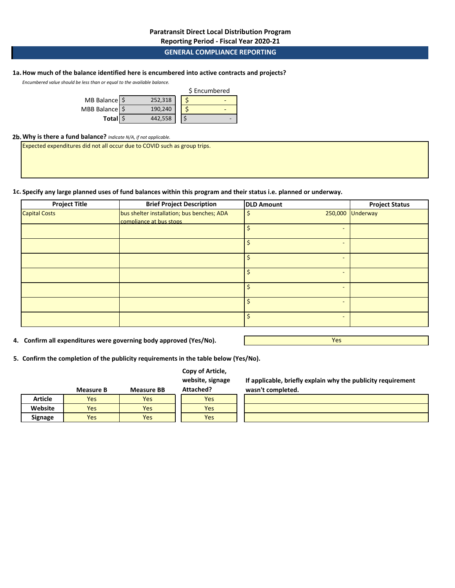## **Paratransit Direct Local Distribution Program**

**Reporting Period - Fiscal Year 2020-21**

## **GENERAL COMPLIANCE REPORTING**

# **1a.How much of the balance identified here is encumbered into active contracts and projects?**

*Encumbered value should be less than or equal to the available balance.* 

|                          |         | \$ Encumbered |
|--------------------------|---------|---------------|
| MB Balance $\frac{1}{2}$ | 252.318 |               |
| MBB Balance   \$         | 190.240 |               |
| Total S                  | 442,558 |               |

#### **2b.Why is there a fund balance?** *Indicate N/A, if not applicable.*

Expected expenditures did not all occur due to COVID such as group trips.

#### **1c. Specify any large planned uses of fund balances within this program and their status i.e. planned or underway.**

| <b>Project Title</b> | <b>Brief Project Description</b>                                      | <b>DLD Amount</b> | <b>Project Status</b> |
|----------------------|-----------------------------------------------------------------------|-------------------|-----------------------|
| <b>Capital Costs</b> | bus shelter installation; bus benches; ADA<br>compliance at bus stops |                   | 250,000 Underway      |
|                      |                                                                       |                   |                       |
|                      |                                                                       |                   |                       |
|                      |                                                                       |                   |                       |
|                      |                                                                       |                   |                       |
|                      |                                                                       |                   |                       |
|                      |                                                                       |                   |                       |
|                      |                                                                       |                   |                       |

**4. Confirm all expenditures were governing body approved (Yes/No).**

Yes

**5. Confirm the completion of the publicity requirements in the table below (Yes/No).**

## **Copy of Article, website, signage**

|         | <b>Measure B</b> | <b>Measure BB</b> | Attached? |
|---------|------------------|-------------------|-----------|
| Article | Yes              | Yes               | Yes       |
| Website | Yes              | Yes               | Yes       |
| Signage | Yes              | Yes               | Yes       |

**If applicable, briefly explain why the publicity requirement wasn't completed.**